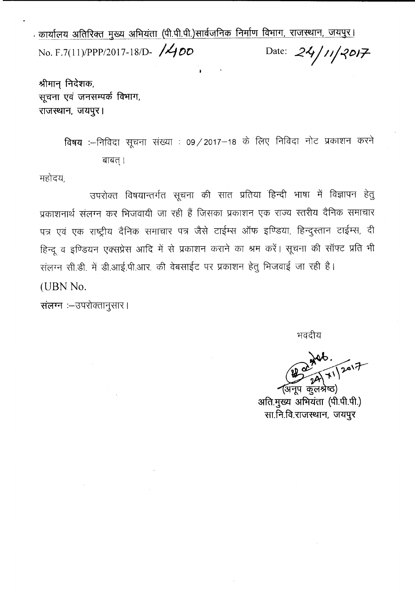<u>· कार्यालय अतिरिक्त मुख्य अभियंता (पी.पी.पी.)सार्वजनिक निर्माण विभाग, राजस्थान, जयपुर।</u> No. F.7(11)/PPP/2017-18/D- **/400** Date: 24/11/2017

.<br>I

श्रीमान् निदेशक, सूचना एवं जनसम्पर्क विभाग, राजस्थान, जयपुर।

> विषय :--निविदा सूचना संख्या : 09 / 2017-18 के लिए निविदा नोट प्रकाशन करने बाबत् ।

महोदय,

उपरोक्त विषयान्तर्गत सूचना की सात प्रतिया हिन्दी भाषा में विज्ञापन हेतु प्रकाशनार्थ संलग्न कर भिजवायी जा रही हैं जिसका प्रकाशन एक राज्य स्तरीय दैनिक समाचार पत्र एवं एक राष्ट्रीय दैनिक समाचार पत्र जैसे टाईम्स ऑफ इण्डिया, हिन्दुस्तान टाईम्स, दी हिन्दू व इण्डियन एक्सप्रेस आदि में से प्रकाशन कराने का श्रम करें। सूचना की सॉफ्ट प्रति भी संलग्न सी.डी. में डी.आई.पी.आर. की वेबसाईट पर प्रकाशन हेतु भिजवाई जा रही है। (UBN No.

संलग्न :- उपरोक्तानुसार।

भवदीय

 $\frac{1}{11}$   $\frac{1}{201}$ 

अनूप कुलश्रेष्ठ) अति.मुख्य अभियंता (पी.पी.पी.) सा.नि.वि.राजस्थान, जयपुर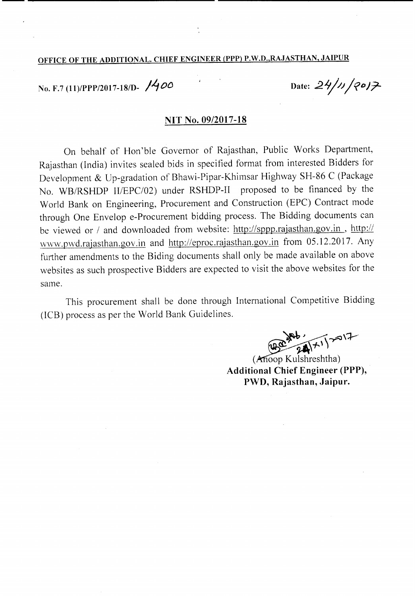## OFFICE OF THE ADDITIONAL. CHIEF ENGINEER (PPP) P.W.D.,RAJASTHAN, JAIPUR

No. F.7 (11)/PPP/2017-18/D- *1'-100*

Date:  $24/11/2017$ 

#### NIT No. 09/2017-18

On behalf of Hon'ble Governor of Rajasthan, Public Works Department, Rajasthan (India) invites sealed bids in specified format from interested Bidders for Development & Up-gradation of Bhawi-Pipar-Khimsar Highway SH-86 C (Package No. WB/RSHDP II/EPC/02) under RSHDP-II proposed to be financed by the World Bank on Engineering, Procurement and Construction (EPC) Contract mode through One Envelop e-Procurement bidding process. The Bidding documents can be viewed or *I* and downloaded from website: http://sppp.rajasthan.gov.in , *http://* www.pwd.rajasthan.gov.in and http://eproc.rajasthan.gov.in from 05.12.2017. Any further amendments to the Biding documents shall only be made available on above websites as such prospective Bidders are expected to visit the above websites for the same.

This procurement shall be done through International Competitive Bidding (lCB) process as per the World Bank Guidelines.

 $\frac{1}{2}$  $W^*$ 

 $(An)$  Kulshreshtha) Additional Chief Engineer (PPP), PWD, Rajasthan, Jaipur.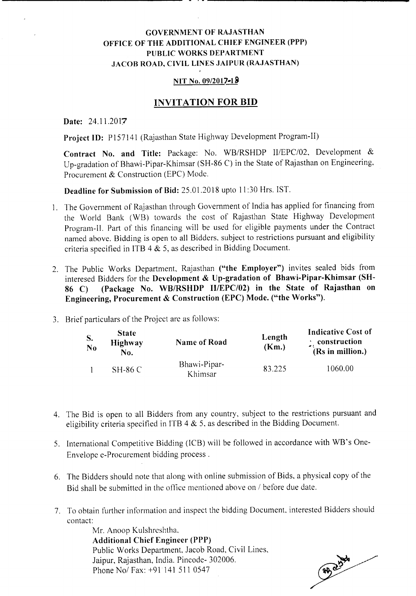## GOVERNMENT OF RAJASTHAN OFFICE OF THE ADDITIONAL CHIEF ENGINEER (PPP) PUBLIC WORKS DEPARTMENT JACOB ROAD, CIVIL LINES JAIPUR (RAJASTHAN)

#### NIT No. 09/2017-18

### INVITATION FOR **BID**

Date: 24.11.2017

Project ID: P157141 (Rajasthan State Highway Development Program-II)

Contract No. and Title: Package: No. WB/RSHDP II/EPC/02, Development & Up-gradation of Bhawi-Pipar-Khimsar (SH-86 C) in the State of Rajasthan on Engineering. Procurement & Construction (EPC) Mode.

Deadline for Submission of Bid: 25.01.2018 upto II :30 Hrs. 1ST.

- 1. The Government of Rajasthan through Government of India has applied for financing from the World Bank (WB) towards the cost of Rajasthan State Highway Development Program-II. Part of this financing will be used for eligible payments under the Contract named above. Bidding is open to all Bidders. subject to restrictions pursuant and eligibility criteria specified in ITB 4 & 5, as described in Bidding Document.
- 2. The Public Works Department. Rajasthan ("the Employer") invites sealed bids from interesed Bidders for the Development & Up-gradation of Bhawi-Pipar-Khimsar (SH-86 C) (Package No. WB/RSHDP *II/EPC/02)* in the State of Rajasthan on Engineering, Procurement & Construction (EPC) Mode. ("the Works").
- 3. Brief particulars of the Project are as follows:

| S.<br>No | <b>State</b><br><b>Highway</b><br>No. | <b>Name of Road</b>     | Length<br>(Km.) | Indicative Cost of<br>$\therefore$ construction<br>(Rs in million.) |
|----------|---------------------------------------|-------------------------|-----------------|---------------------------------------------------------------------|
|          | $SH-86C$                              | Bhawi-Pipar-<br>Khimsar | 83.225          | 1060.00                                                             |

- 4. The Bid is open to all Bidders from any country, subject to the restrictions pursuant and eligibility criteria specified in ITB 4  $&$  5, as described in the Bidding Document.
- 5. International Competitive Bidding (lCB) will be followed in accordance with WB's One-Envelope e-Procurement bidding process.
- 6. The Bidders should note that along with online submission of Bids. a physical copy of the Bid shall be submitted in the office mentioned above on / before due date.
- 7. To obtain further information and inspect the bidding Document. interested Bidders should contact:

Mr. Anoop Kulshrcshtha, Additional Chief Engineer (PPP) Public Works Department. Jacob Road, Civil Lines. Jaipur, Rajasthan, India. Pincode- 302006. Phone *Nol* Fax: +91 141 511 0547

**EBOUTER**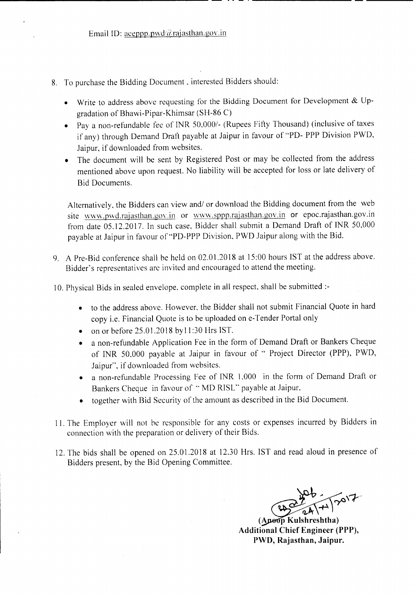**----------------------------------------------** -- - .---------------------

- 8. To purchase the Bidding Document, interested Bidders should:
	- Write to address above requesting for the Bidding Document for Development & Upgradation of Bhawi-Pipar-Khimsar (SH-86 C)
	- Pay a non-refundable fee of INR 50\_000/- (Rupees Fifty Thousand) (inclusive of taxes if any) through Demand Draft payable at Jaipur in favour of "PD- PPP Division PWD, Jaipur, if downloaded from websites.
	- The document will be sent by Registered Post or may be collected from the address mentioned above upon request. No liability will be accepted for loss or late delivery of Bid Documents.

Alternatively, the Bidders can view and/ or download the Bidding document from the web site www.pwd.rajasthan.gov.in or www.sppp.rajasthan.gov.in or epoc.rajasthan.gov.in from date 05.12.2017. In such case, Bidder shall submit a Demand Draft of INR 50,000 payable at Jaipur in favour of"PD-PPP Division, PWD Jaipur along with the Bid.

9. A Pre-Bid conference shall be held on 02.01.2018 at 15:00 hours IST at the address above. Bidder's representatives arc invited and encouraged to attend the meeting.

10. Physical Bids in sealed envelope, complete in all respect, shall be submitted :-

- to the address above. However, the Bidder shall not submit Financial Quote in hard copy i.e. Financial Quote is to be uploaded on e-Tender Portal only
- on or before 25.01.2018 by 11:30 Hrs IST.
- a non-refundable Application Fee in the form of Demand Draft or Bankers Cheque of INR 50,000 payable at Jaipur in favour of " Project Director (PPP), PWD, Jaipur", if downloaded from websites.
- a non-refundable Processing Fee of INR 1,000 in the form of Demand Draft or Bankers Cheque in favour of "MD RISL" payable at Jaipur,
- together with Bid Security of the amount as described in the Bid Document.
- II. The Employer will not be responsible for any costs or expenses incurred by Bidders in connection with the preparation or delivery of their Bids.
- 12. The bids shall be opened on 25.0l.2018 at 12.30 Hrs. 1ST and read aloud in presence of Bidders present, by the Bid Opening Committee.

**(A P Kulshreshtha) Additional Chief Engineer (PPP), PWD, Rajasthan, Jaipur.**